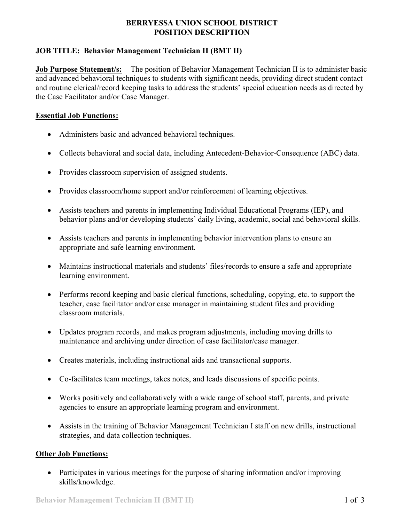## **BERRYESSA UNION SCHOOL DISTRICT POSITION DESCRIPTION**

# **JOB TITLE: Behavior Management Technician II (BMT II)**

**Job Purpose Statement/s:** The position of Behavior Management Technician II is to administer basic and advanced behavioral techniques to students with significant needs, providing direct student contact and routine clerical/record keeping tasks to address the students' special education needs as directed by the Case Facilitator and/or Case Manager.

## **Essential Job Functions:**

- Administers basic and advanced behavioral techniques.
- Collects behavioral and social data, including Antecedent-Behavior-Consequence (ABC) data.
- Provides classroom supervision of assigned students.
- Provides classroom/home support and/or reinforcement of learning objectives.
- Assists teachers and parents in implementing Individual Educational Programs (IEP), and behavior plans and/or developing students' daily living, academic, social and behavioral skills.
- Assists teachers and parents in implementing behavior intervention plans to ensure an appropriate and safe learning environment.
- Maintains instructional materials and students' files/records to ensure a safe and appropriate learning environment.
- Performs record keeping and basic clerical functions, scheduling, copying, etc. to support the teacher, case facilitator and/or case manager in maintaining student files and providing classroom materials.
- Updates program records, and makes program adjustments, including moving drills to maintenance and archiving under direction of case facilitator/case manager.
- Creates materials, including instructional aids and transactional supports.
- Co-facilitates team meetings, takes notes, and leads discussions of specific points.
- Works positively and collaboratively with a wide range of school staff, parents, and private agencies to ensure an appropriate learning program and environment.
- Assists in the training of Behavior Management Technician I staff on new drills, instructional strategies, and data collection techniques.

## **Other Job Functions:**

• Participates in various meetings for the purpose of sharing information and/or improving skills/knowledge.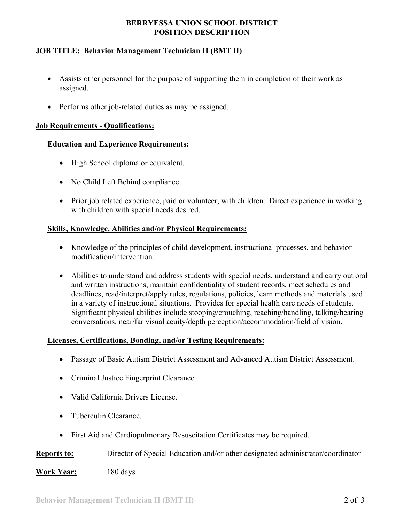## **BERRYESSA UNION SCHOOL DISTRICT POSITION DESCRIPTION**

# **JOB TITLE: Behavior Management Technician II (BMT II)**

- Assists other personnel for the purpose of supporting them in completion of their work as assigned.
- Performs other job-related duties as may be assigned.

#### **Job Requirements - Qualifications:**

#### **Education and Experience Requirements:**

- High School diploma or equivalent.
- No Child Left Behind compliance.
- Prior job related experience, paid or volunteer, with children. Direct experience in working with children with special needs desired.

#### **Skills, Knowledge, Abilities and/or Physical Requirements:**

- Knowledge of the principles of child development, instructional processes, and behavior modification/intervention.
- Abilities to understand and address students with special needs, understand and carry out oral and written instructions, maintain confidentiality of student records, meet schedules and deadlines, read/interpret/apply rules, regulations, policies, learn methods and materials used in a variety of instructional situations. Provides for special health care needs of students. Significant physical abilities include stooping/crouching, reaching/handling, talking/hearing conversations, near/far visual acuity/depth perception/accommodation/field of vision.

#### **Licenses, Certifications, Bonding, and/or Testing Requirements:**

- Passage of Basic Autism District Assessment and Advanced Autism District Assessment.
- Criminal Justice Fingerprint Clearance.
- Valid California Drivers License.
- Tuberculin Clearance.
- First Aid and Cardiopulmonary Resuscitation Certificates may be required.

**Reports to:** Director of Special Education and/or other designated administrator/coordinator

#### **Work Year:** 180 days